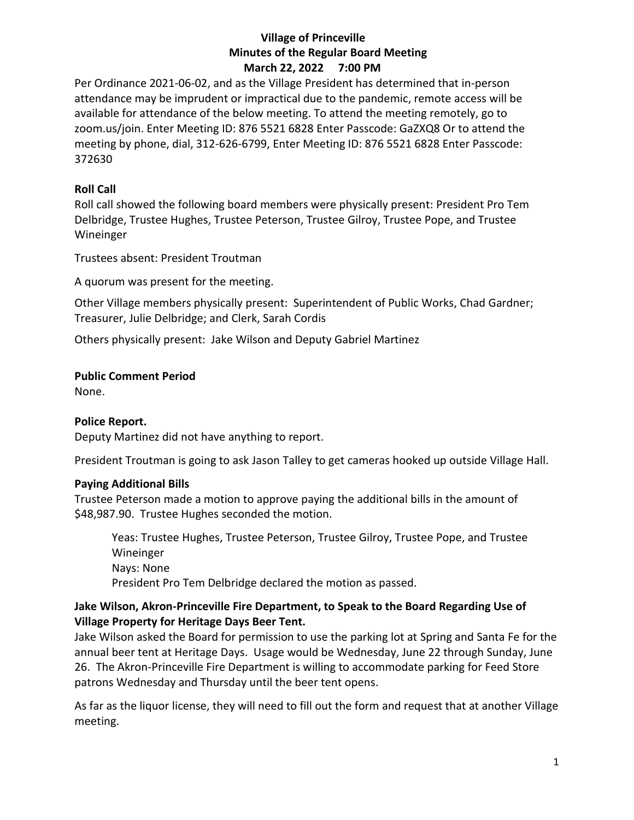### **Village of Princeville Minutes of the Regular Board Meeting March 22, 2022 7:00 PM**

Per Ordinance 2021-06-02, and as the Village President has determined that in-person attendance may be imprudent or impractical due to the pandemic, remote access will be available for attendance of the below meeting. To attend the meeting remotely, go to zoom.us/join. Enter Meeting ID: 876 5521 6828 Enter Passcode: GaZXQ8 Or to attend the meeting by phone, dial, 312-626-6799, Enter Meeting ID: 876 5521 6828 Enter Passcode: 372630

### **Roll Call**

Roll call showed the following board members were physically present: President Pro Tem Delbridge, Trustee Hughes, Trustee Peterson, Trustee Gilroy, Trustee Pope, and Trustee Wineinger

Trustees absent: President Troutman

A quorum was present for the meeting.

Other Village members physically present: Superintendent of Public Works, Chad Gardner; Treasurer, Julie Delbridge; and Clerk, Sarah Cordis

Others physically present: Jake Wilson and Deputy Gabriel Martinez

# **Public Comment Period**

None.

# **Police Report.**

Deputy Martinez did not have anything to report.

President Troutman is going to ask Jason Talley to get cameras hooked up outside Village Hall.

# **Paying Additional Bills**

Trustee Peterson made a motion to approve paying the additional bills in the amount of \$48,987.90. Trustee Hughes seconded the motion.

Yeas: Trustee Hughes, Trustee Peterson, Trustee Gilroy, Trustee Pope, and Trustee Wineinger Nays: None President Pro Tem Delbridge declared the motion as passed.

## **Jake Wilson, Akron-Princeville Fire Department, to Speak to the Board Regarding Use of Village Property for Heritage Days Beer Tent.**

Jake Wilson asked the Board for permission to use the parking lot at Spring and Santa Fe for the annual beer tent at Heritage Days. Usage would be Wednesday, June 22 through Sunday, June 26. The Akron-Princeville Fire Department is willing to accommodate parking for Feed Store patrons Wednesday and Thursday until the beer tent opens.

As far as the liquor license, they will need to fill out the form and request that at another Village meeting.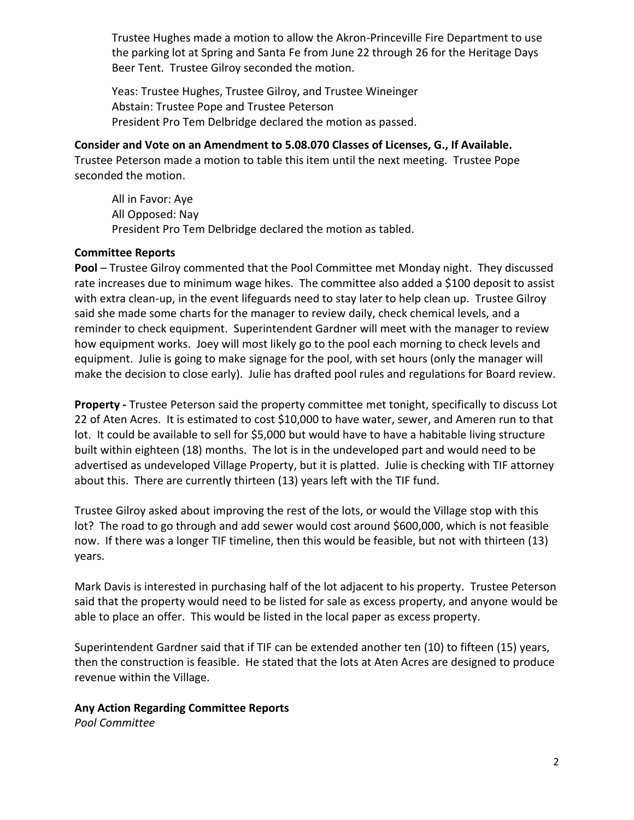Trustee Hughes made a motion to allow the Akron-Princeville Fire Department to use the parking lot at Spring and Santa Fe from June 22 through 26 for the Heritage Days Beer Tent. Trustee Gilroy seconded the motion.

Yeas: Trustee Hughes, Trustee Gilroy, and Trustee Wineinger Abstain: Trustee Pope and Trustee Peterson President Pro Tem Delbridge declared the motion as passed.

# **Consider and Vote on an Amendment to 5.08.070 Classes of Licenses, G., If Available.**

Trustee Peterson made a motion to table this item until the next meeting. Trustee Pope seconded the motion.

All in Favor: Aye All Opposed: Nay President Pro Tem Delbridge declared the motion as tabled.

## **Committee Reports**

**Pool** – Trustee Gilroy commented that the Pool Committee met Monday night. They discussed rate increases due to minimum wage hikes. The committee also added a \$100 deposit to assist with extra clean-up, in the event lifeguards need to stay later to help clean up. Trustee Gilroy said she made some charts for the manager to review daily, check chemical levels, and a reminder to check equipment. Superintendent Gardner will meet with the manager to review how equipment works. Joey will most likely go to the pool each morning to check levels and equipment. Julie is going to make signage for the pool, with set hours (only the manager will make the decision to close early). Julie has drafted pool rules and regulations for Board review.

**Property -** Trustee Peterson said the property committee met tonight, specifically to discuss Lot 22 of Aten Acres. It is estimated to cost \$10,000 to have water, sewer, and Ameren run to that lot. It could be available to sell for \$5,000 but would have to have a habitable living structure built within eighteen (18) months. The lot is in the undeveloped part and would need to be advertised as undeveloped Village Property, but it is platted. Julie is checking with TIF attorney about this. There are currently thirteen (13) years left with the TIF fund.

Trustee Gilroy asked about improving the rest of the lots, or would the Village stop with this lot? The road to go through and add sewer would cost around \$600,000, which is not feasible now. If there was a longer TIF timeline, then this would be feasible, but not with thirteen (13) years.

Mark Davis is interested in purchasing half of the lot adjacent to his property. Trustee Peterson said that the property would need to be listed for sale as excess property, and anyone would be able to place an offer. This would be listed in the local paper as excess property.

Superintendent Gardner said that if TIF can be extended another ten (10) to fifteen (15) years, then the construction is feasible. He stated that the lots at Aten Acres are designed to produce revenue within the Village.

# **Any Action Regarding Committee Reports**

*Pool Committee*